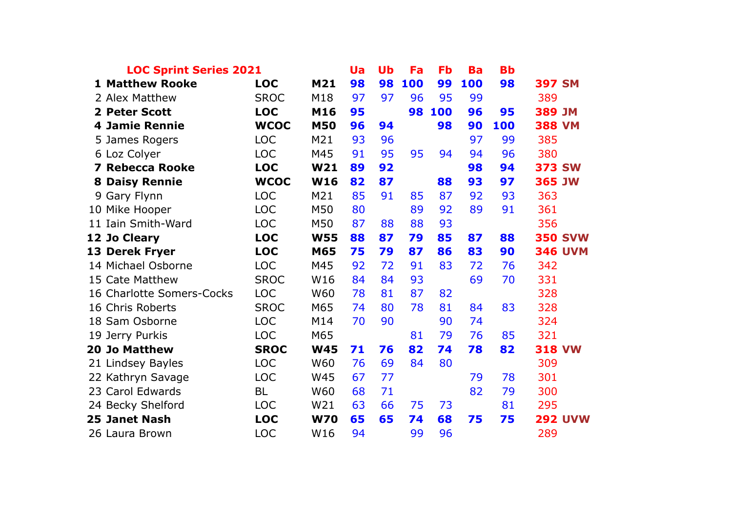| <b>LOC Sprint Series 2021</b> |                               |             |            | <b>Ua</b> | Ub | Fa  | Fb  | <b>Ba</b> | <b>Bb</b> |               |                |
|-------------------------------|-------------------------------|-------------|------------|-----------|----|-----|-----|-----------|-----------|---------------|----------------|
|                               | <b>1 Matthew Rooke</b>        | <b>LOC</b>  | M21        | 98        | 98 | 100 | 99  | 100       | 98        | <b>397 SM</b> |                |
|                               | 2 Alex Matthew                | <b>SROC</b> | M18        | 97        | 97 | 96  | 95  | 99        |           | 389           |                |
| $\mathbf{z}$                  | <b>Peter Scott</b>            | <b>LOC</b>  | M16        | 95        |    | 98  | 100 | 96        | 95        | 389 JM        |                |
|                               | <b>4 Jamie Rennie</b>         | <b>WCOC</b> | <b>M50</b> | 96        | 94 |     | 98  | 90        | 100       | <b>388 VM</b> |                |
|                               | 5 James Rogers                | <b>LOC</b>  | M21        | 93        | 96 |     |     | 97        | 99        | 385           |                |
|                               | 6 Loz Colyer                  | <b>LOC</b>  | M45        | 91        | 95 | 95  | 94  | 94        | 96        | 380           |                |
| 7                             | <b>Rebecca Rooke</b>          | <b>LOC</b>  | W21        | 89        | 92 |     |     | 98        | 94        | <b>373 SW</b> |                |
| 8                             | <b>Daisy Rennie</b>           | <b>WCOC</b> | <b>W16</b> | 82        | 87 |     | 88  | 93        | 97        | 365 JW        |                |
| 9                             | Gary Flynn                    | <b>LOC</b>  | M21        | 85        | 91 | 85  | 87  | 92        | 93        | 363           |                |
|                               | 10 Mike Hooper                | <b>LOC</b>  | M50        | 80        |    | 89  | 92  | 89        | 91        | 361           |                |
| 11                            | Iain Smith-Ward               | <b>LOC</b>  | M50        | 87        | 88 | 88  | 93  |           |           | 356           |                |
| 12                            | <b>Jo Cleary</b>              | <b>LOC</b>  | <b>W55</b> | 88        | 87 | 79  | 85  | 87        | 88        |               | <b>350 SVW</b> |
| 13                            | <b>Derek Fryer</b>            | <b>LOC</b>  | M65        | 75        | 79 | 87  | 86  | 83        | 90        |               | <b>346 UVM</b> |
|                               | 14 Michael Osborne            | <b>LOC</b>  | M45        | 92        | 72 | 91  | 83  | 72        | 76        | 342           |                |
| 15                            | <b>Cate Matthew</b>           | <b>SROC</b> | W16        | 84        | 84 | 93  |     | 69        | 70        | 331           |                |
| 16                            | <b>Charlotte Somers-Cocks</b> | <b>LOC</b>  | W60        | 78        | 81 | 87  | 82  |           |           | 328           |                |
|                               | 16 Chris Roberts              | <b>SROC</b> | M65        | 74        | 80 | 78  | 81  | 84        | 83        | 328           |                |
| 18                            | Sam Osborne                   | <b>LOC</b>  | M14        | 70        | 90 |     | 90  | 74        |           | 324           |                |
| 19                            | Jerry Purkis                  | <b>LOC</b>  | M65        |           |    | 81  | 79  | 76        | 85        | 321           |                |
| 20                            | <b>Jo Matthew</b>             | <b>SROC</b> | <b>W45</b> | 71        | 76 | 82  | 74  | 78        | 82        | <b>318 VW</b> |                |
|                               | 21 Lindsey Bayles             | <b>LOC</b>  | W60        | 76        | 69 | 84  | 80  |           |           | 309           |                |
|                               | 22 Kathryn Savage             | <b>LOC</b>  | W45        | 67        | 77 |     |     | 79        | 78        | 301           |                |
|                               | 23 Carol Edwards              | <b>BL</b>   | W60        | 68        | 71 |     |     | 82        | 79        | 300           |                |
|                               | 24 Becky Shelford             | <b>LOC</b>  | W21        | 63        | 66 | 75  | 73  |           | 81        | 295           |                |
|                               | 25 Janet Nash                 | <b>LOC</b>  | <b>W70</b> | 65        | 65 | 74  | 68  | 75        | 75        |               | <b>292 UVW</b> |
|                               | 26 Laura Brown                | <b>LOC</b>  | W16        | 94        |    | 99  | 96  |           |           | 289           |                |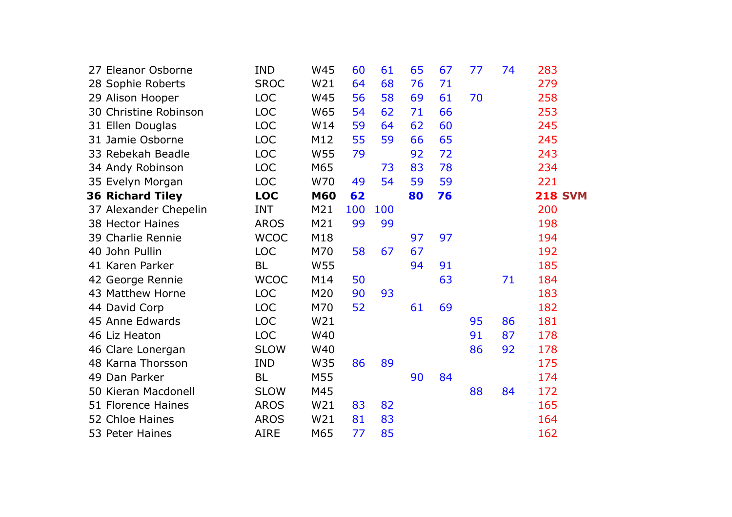| 27 Eleanor Osborne      | <b>IND</b>  | W45        | 60  | 61  | 65 | 67 | 77 | 74 | 283            |
|-------------------------|-------------|------------|-----|-----|----|----|----|----|----------------|
| 28 Sophie Roberts       | <b>SROC</b> | W21        | 64  | 68  | 76 | 71 |    |    | 279            |
| 29 Alison Hooper        | <b>LOC</b>  | W45        | 56  | 58  | 69 | 61 | 70 |    | 258            |
| 30 Christine Robinson   | <b>LOC</b>  | W65        | 54  | 62  | 71 | 66 |    |    | 253            |
| 31 Ellen Douglas        | <b>LOC</b>  | W14        | 59  | 64  | 62 | 60 |    |    | 245            |
| 31 Jamie Osborne        | <b>LOC</b>  | M12        | 55  | 59  | 66 | 65 |    |    | 245            |
| 33 Rebekah Beadle       | <b>LOC</b>  | W55        | 79  |     | 92 | 72 |    |    | 243            |
| 34 Andy Robinson        | <b>LOC</b>  | M65        |     | 73  | 83 | 78 |    |    | 234            |
| 35 Evelyn Morgan        | <b>LOC</b>  | W70        | 49  | 54  | 59 | 59 |    |    | 221            |
| <b>36 Richard Tiley</b> | <b>LOC</b>  | <b>M60</b> | 62  |     | 80 | 76 |    |    | <b>218 SVM</b> |
| 37 Alexander Chepelin   | <b>INT</b>  | M21        | 100 | 100 |    |    |    |    | 200            |
| 38 Hector Haines        | <b>AROS</b> | M21        | 99  | 99  |    |    |    |    | 198            |
| 39 Charlie Rennie       | <b>WCOC</b> | M18        |     |     | 97 | 97 |    |    | 194            |
| 40 John Pullin          | <b>LOC</b>  | M70        | 58  | 67  | 67 |    |    |    | 192            |
| 41 Karen Parker         | <b>BL</b>   | W55        |     |     | 94 | 91 |    |    | 185            |
| 42 George Rennie        | <b>WCOC</b> | M14        | 50  |     |    | 63 |    | 71 | 184            |
| 43 Matthew Horne        | <b>LOC</b>  | M20        | 90  | 93  |    |    |    |    | 183            |
| 44 David Corp           | <b>LOC</b>  | M70        | 52  |     | 61 | 69 |    |    | 182            |
| 45 Anne Edwards         | <b>LOC</b>  | W21        |     |     |    |    | 95 | 86 | 181            |
| 46 Liz Heaton           | <b>LOC</b>  | W40        |     |     |    |    | 91 | 87 | 178            |
| 46 Clare Lonergan       | <b>SLOW</b> | W40        |     |     |    |    | 86 | 92 | 178            |
| 48 Karna Thorsson       | <b>IND</b>  | W35        | 86  | 89  |    |    |    |    | 175            |
| 49 Dan Parker           | <b>BL</b>   | M55        |     |     | 90 | 84 |    |    | 174            |
| 50 Kieran Macdonell     | <b>SLOW</b> | M45        |     |     |    |    | 88 | 84 | 172            |
| 51 Florence Haines      | <b>AROS</b> | W21        | 83  | 82  |    |    |    |    | 165            |
| 52 Chloe Haines         | <b>AROS</b> | W21        | 81  | 83  |    |    |    |    | 164            |
| 53 Peter Haines         | <b>AIRE</b> | M65        | 77  | 85  |    |    |    |    | 162            |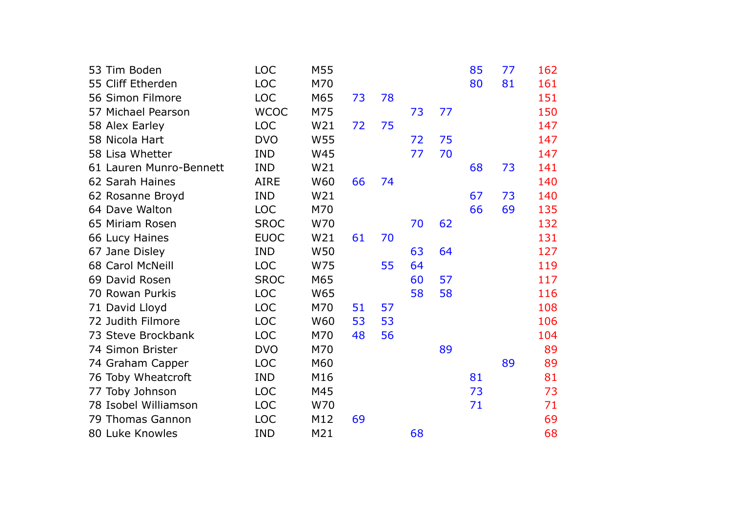| 53 Tim Boden            | <b>LOC</b>  | M55 |    |    |    |    | 85 | 77 | 162 |
|-------------------------|-------------|-----|----|----|----|----|----|----|-----|
| 55 Cliff Etherden       | <b>LOC</b>  | M70 |    |    |    |    | 80 | 81 | 161 |
| 56 Simon Filmore        | <b>LOC</b>  | M65 | 73 | 78 |    |    |    |    | 151 |
| 57 Michael Pearson      | <b>WCOC</b> | M75 |    |    | 73 | 77 |    |    | 150 |
| 58 Alex Earley          | <b>LOC</b>  | W21 | 72 | 75 |    |    |    |    | 147 |
| 58 Nicola Hart          | <b>DVO</b>  | W55 |    |    | 72 | 75 |    |    | 147 |
| 58 Lisa Whetter         | <b>IND</b>  | W45 |    |    | 77 | 70 |    |    | 147 |
| 61 Lauren Munro-Bennett | <b>IND</b>  | W21 |    |    |    |    | 68 | 73 | 141 |
| 62 Sarah Haines         | <b>AIRE</b> | W60 | 66 | 74 |    |    |    |    | 140 |
| 62 Rosanne Broyd        | <b>IND</b>  | W21 |    |    |    |    | 67 | 73 | 140 |
| 64 Dave Walton          | <b>LOC</b>  | M70 |    |    |    |    | 66 | 69 | 135 |
| 65 Miriam Rosen         | <b>SROC</b> | W70 |    |    | 70 | 62 |    |    | 132 |
| 66 Lucy Haines          | <b>EUOC</b> | W21 | 61 | 70 |    |    |    |    | 131 |
| 67 Jane Disley          | <b>IND</b>  | W50 |    |    | 63 | 64 |    |    | 127 |
| <b>68 Carol McNeill</b> | <b>LOC</b>  | W75 |    | 55 | 64 |    |    |    | 119 |
| 69 David Rosen          | <b>SROC</b> | M65 |    |    | 60 | 57 |    |    | 117 |
| 70 Rowan Purkis         | <b>LOC</b>  | W65 |    |    | 58 | 58 |    |    | 116 |
| 71 David Lloyd          | <b>LOC</b>  | M70 | 51 | 57 |    |    |    |    | 108 |
| 72 Judith Filmore       | <b>LOC</b>  | W60 | 53 | 53 |    |    |    |    | 106 |
| 73 Steve Brockbank      | <b>LOC</b>  | M70 | 48 | 56 |    |    |    |    | 104 |
| 74 Simon Brister        | <b>DVO</b>  | M70 |    |    |    | 89 |    |    | 89  |
| 74 Graham Capper        | <b>LOC</b>  | M60 |    |    |    |    |    | 89 | 89  |
| 76 Toby Wheatcroft      | <b>IND</b>  | M16 |    |    |    |    | 81 |    | 81  |
| 77 Toby Johnson         | <b>LOC</b>  | M45 |    |    |    |    | 73 |    | 73  |
| 78 Isobel Williamson    | <b>LOC</b>  | W70 |    |    |    |    | 71 |    | 71  |
| 79 Thomas Gannon        | <b>LOC</b>  | M12 | 69 |    |    |    |    |    | 69  |
| 80 Luke Knowles         | <b>IND</b>  | M21 |    |    | 68 |    |    |    | 68  |